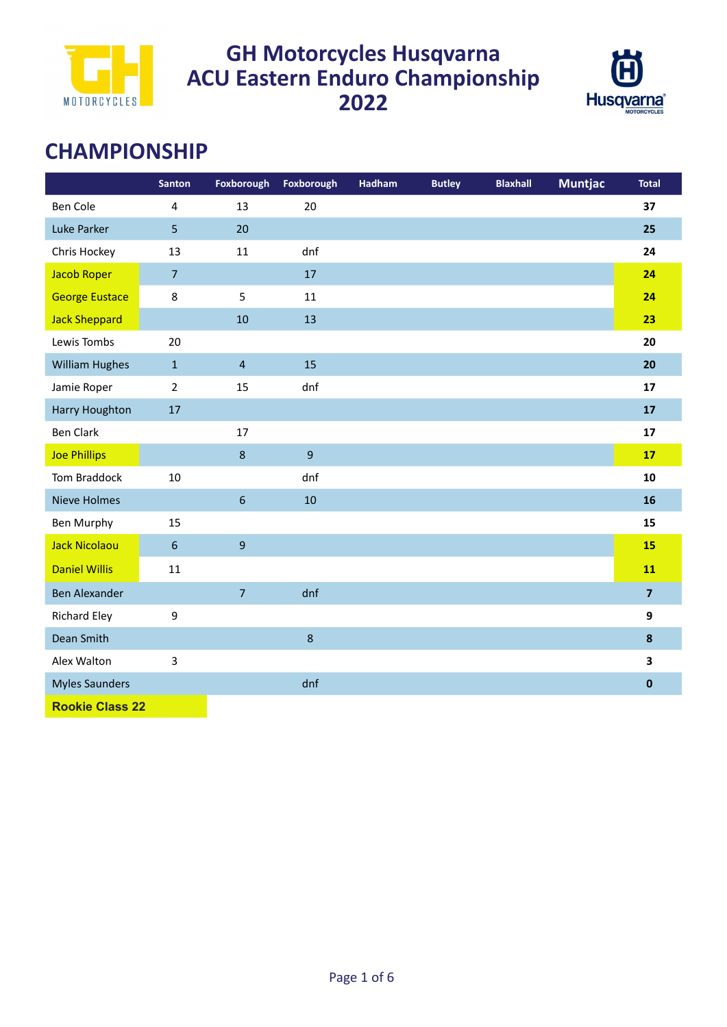



# **CHAMPIONSHIP**

|                        | <b>Santon</b>           | Foxborough     | Foxborough       | Hadham | <b>Butley</b> | <b>Blaxhall</b> | <b>Muntjac</b> | <b>Total</b>            |
|------------------------|-------------------------|----------------|------------------|--------|---------------|-----------------|----------------|-------------------------|
| <b>Ben Cole</b>        | $\overline{\mathbf{4}}$ | 13             | 20               |        |               |                 |                | 37                      |
| Luke Parker            | 5                       | 20             |                  |        |               |                 |                | 25                      |
| Chris Hockey           | 13                      | 11             | dnf              |        |               |                 |                | 24                      |
| <b>Jacob Roper</b>     | $\overline{7}$          |                | 17               |        |               |                 |                | 24                      |
| <b>George Eustace</b>  | 8                       | 5              | 11               |        |               |                 |                | 24                      |
| <b>Jack Sheppard</b>   |                         | 10             | 13               |        |               |                 |                | 23                      |
| Lewis Tombs            | 20                      |                |                  |        |               |                 |                | 20                      |
| <b>William Hughes</b>  | $\mathbf 1$             | $\overline{4}$ | 15               |        |               |                 |                | 20                      |
| Jamie Roper            | $\overline{2}$          | 15             | dnf              |        |               |                 |                | 17                      |
| Harry Houghton         | 17                      |                |                  |        |               |                 |                | 17                      |
| <b>Ben Clark</b>       |                         | 17             |                  |        |               |                 |                | 17                      |
| <b>Joe Phillips</b>    |                         | 8              | $\overline{9}$   |        |               |                 |                | 17                      |
| Tom Braddock           | $10\,$                  |                | dnf              |        |               |                 |                | 10                      |
| <b>Nieve Holmes</b>    |                         | $\sqrt{6}$     | $10\,$           |        |               |                 |                | 16                      |
| <b>Ben Murphy</b>      | 15                      |                |                  |        |               |                 |                | 15                      |
| <b>Jack Nicolaou</b>   | $6\,$                   | $\overline{9}$ |                  |        |               |                 |                | 15                      |
| <b>Daniel Willis</b>   | 11                      |                |                  |        |               |                 |                | 11                      |
| <b>Ben Alexander</b>   |                         | $\overline{7}$ | dnf              |        |               |                 |                | $\overline{\mathbf{z}}$ |
| <b>Richard Eley</b>    | 9                       |                |                  |        |               |                 |                | 9                       |
| Dean Smith             |                         |                | $\boldsymbol{8}$ |        |               |                 |                | $\boldsymbol{8}$        |
| Alex Walton            | 3                       |                |                  |        |               |                 |                | $\overline{\mathbf{3}}$ |
| <b>Myles Saunders</b>  |                         |                | dnf              |        |               |                 |                | $\mathbf 0$             |
| <b>Rookie Class 22</b> |                         |                |                  |        |               |                 |                |                         |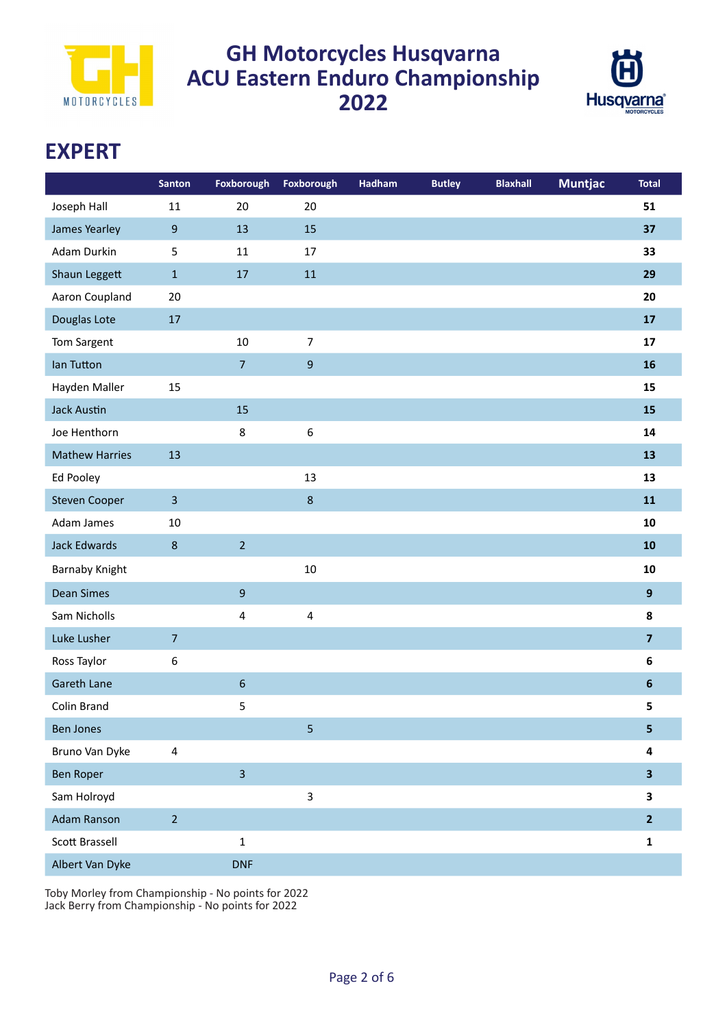



## **EXPERT**

|                       | <b>Santon</b>           | Foxborough              | Foxborough     | Hadham | <b>Butley</b> | <b>Blaxhall</b> | <b>Muntjac</b> | <b>Total</b>            |
|-----------------------|-------------------------|-------------------------|----------------|--------|---------------|-----------------|----------------|-------------------------|
| Joseph Hall           | 11                      | 20                      | 20             |        |               |                 |                | 51                      |
| James Yearley         | $\boldsymbol{9}$        | 13                      | 15             |        |               |                 |                | 37                      |
| Adam Durkin           | 5                       | 11                      | 17             |        |               |                 |                | 33                      |
| Shaun Leggett         | $\mathbf{1}$            | $17\,$                  | 11             |        |               |                 |                | 29                      |
| Aaron Coupland        | 20                      |                         |                |        |               |                 |                | 20                      |
| Douglas Lote          | $17\,$                  |                         |                |        |               |                 |                | 17                      |
| Tom Sargent           |                         | 10                      | $\overline{7}$ |        |               |                 |                | 17                      |
| lan Tutton            |                         | $\overline{7}$          | 9              |        |               |                 |                | 16                      |
| Hayden Maller         | 15                      |                         |                |        |               |                 |                | 15                      |
| <b>Jack Austin</b>    |                         | 15                      |                |        |               |                 |                | 15                      |
| Joe Henthorn          |                         | 8                       | 6              |        |               |                 |                | 14                      |
| <b>Mathew Harries</b> | 13                      |                         |                |        |               |                 |                | 13                      |
| Ed Pooley             |                         |                         | 13             |        |               |                 |                | 13                      |
| <b>Steven Cooper</b>  | $\overline{3}$          |                         | $\bf 8$        |        |               |                 |                | 11                      |
| Adam James            | 10                      |                         |                |        |               |                 |                | 10                      |
| Jack Edwards          | $\bf 8$                 | $\overline{2}$          |                |        |               |                 |                | 10                      |
| <b>Barnaby Knight</b> |                         |                         | 10             |        |               |                 |                | 10                      |
| <b>Dean Simes</b>     |                         | $\boldsymbol{9}$        |                |        |               |                 |                | $\overline{9}$          |
| Sam Nicholls          |                         | $\overline{\mathbf{4}}$ | 4              |        |               |                 |                | 8                       |
| Luke Lusher           | $\overline{7}$          |                         |                |        |               |                 |                | $\overline{\mathbf{z}}$ |
| Ross Taylor           | $\boldsymbol{6}$        |                         |                |        |               |                 |                | $\bf 6$                 |
| Gareth Lane           |                         | $6\,$                   |                |        |               |                 |                | $\boldsymbol{6}$        |
| Colin Brand           |                         | 5                       |                |        |               |                 |                | 5                       |
| <b>Ben Jones</b>      |                         |                         | 5              |        |               |                 |                | $\overline{\mathbf{5}}$ |
| Bruno Van Dyke        | $\overline{\mathbf{4}}$ |                         |                |        |               |                 |                | 4                       |
| Ben Roper             |                         | $\overline{\mathbf{3}}$ |                |        |               |                 |                | $\overline{\mathbf{3}}$ |
| Sam Holroyd           |                         |                         | 3              |        |               |                 |                | $\overline{\mathbf{3}}$ |
| <b>Adam Ranson</b>    | $\overline{2}$          |                         |                |        |               |                 |                | $\overline{2}$          |
| Scott Brassell        |                         | $\mathbf 1$             |                |        |               |                 |                | $\mathbf{1}$            |
| Albert Van Dyke       |                         | <b>DNF</b>              |                |        |               |                 |                |                         |

Toby Morley from Championship - No points for 2022 Jack Berry from Championship - No points for 2022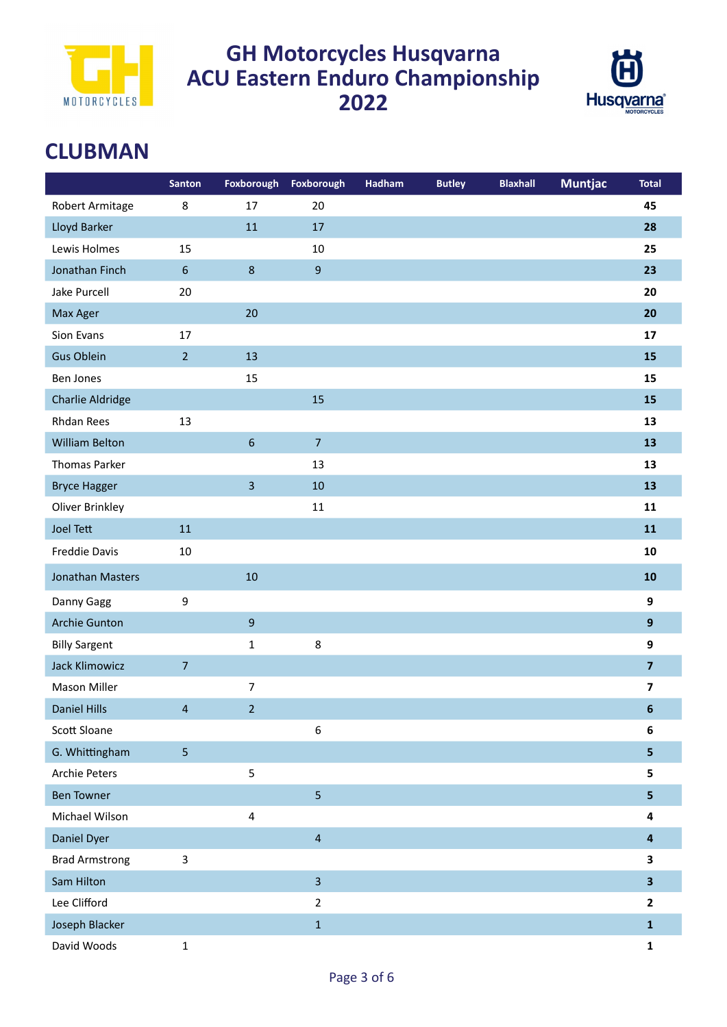



## **CLUBMAN**

|                       | <b>Santon</b>  | Foxborough              | Foxborough              | Hadham | <b>Butley</b> | <b>Blaxhall</b> | <b>Muntjac</b> | <b>Total</b>            |
|-----------------------|----------------|-------------------------|-------------------------|--------|---------------|-----------------|----------------|-------------------------|
| Robert Armitage       | $\,8\,$        | 17                      | 20                      |        |               |                 |                | 45                      |
| Lloyd Barker          |                | 11                      | 17                      |        |               |                 |                | 28                      |
| Lewis Holmes          | 15             |                         | 10                      |        |               |                 |                | 25                      |
| Jonathan Finch        | $6\,$          | $\,8\,$                 | $\boldsymbol{9}$        |        |               |                 |                | 23                      |
| Jake Purcell          | 20             |                         |                         |        |               |                 |                | 20                      |
| Max Ager              |                | 20                      |                         |        |               |                 |                | 20                      |
| Sion Evans            | 17             |                         |                         |        |               |                 |                | 17                      |
| <b>Gus Oblein</b>     | $\overline{2}$ | 13                      |                         |        |               |                 |                | 15                      |
| Ben Jones             |                | 15                      |                         |        |               |                 |                | 15                      |
| Charlie Aldridge      |                |                         | 15                      |        |               |                 |                | 15                      |
| <b>Rhdan Rees</b>     | 13             |                         |                         |        |               |                 |                | 13                      |
| <b>William Belton</b> |                | $\sqrt{6}$              | $\overline{7}$          |        |               |                 |                | 13                      |
| <b>Thomas Parker</b>  |                |                         | 13                      |        |               |                 |                | 13                      |
| <b>Bryce Hagger</b>   |                | $\overline{\mathbf{3}}$ | 10                      |        |               |                 |                | 13                      |
| Oliver Brinkley       |                |                         | $11\,$                  |        |               |                 |                | 11                      |
| <b>Joel Tett</b>      | 11             |                         |                         |        |               |                 |                | 11                      |
| <b>Freddie Davis</b>  | 10             |                         |                         |        |               |                 |                | 10                      |
| Jonathan Masters      |                | 10                      |                         |        |               |                 |                | 10                      |
| Danny Gagg            | 9              |                         |                         |        |               |                 |                | 9                       |
| <b>Archie Gunton</b>  |                | $\boldsymbol{9}$        |                         |        |               |                 |                | $\overline{9}$          |
| <b>Billy Sargent</b>  |                | $\mathbf 1$             | $\bf 8$                 |        |               |                 |                | 9                       |
| <b>Jack Klimowicz</b> | $\overline{7}$ |                         |                         |        |               |                 |                | $\overline{7}$          |
| Mason Miller          |                | $\boldsymbol{7}$        |                         |        |               |                 |                | $\overline{\mathbf{z}}$ |
| <b>Daniel Hills</b>   | $\overline{4}$ | $\overline{2}$          |                         |        |               |                 |                | 6                       |
| Scott Sloane          |                |                         | 6                       |        |               |                 |                | 6                       |
| G. Whittingham        | 5              |                         |                         |        |               |                 |                | 5                       |
| <b>Archie Peters</b>  |                | $\mathsf S$             |                         |        |               |                 |                | 5                       |
| <b>Ben Towner</b>     |                |                         | 5                       |        |               |                 |                | 5                       |
| Michael Wilson        |                | $\sqrt{4}$              |                         |        |               |                 |                | 4                       |
| Daniel Dyer           |                |                         | $\overline{\mathbf{4}}$ |        |               |                 |                | $\overline{\mathbf{4}}$ |
| <b>Brad Armstrong</b> | $\overline{3}$ |                         |                         |        |               |                 |                | 3                       |
| Sam Hilton            |                |                         | $\overline{\mathbf{3}}$ |        |               |                 |                | $\overline{\mathbf{3}}$ |
| Lee Clifford          |                |                         | $\overline{2}$          |        |               |                 |                | $\overline{2}$          |
| Joseph Blacker        |                |                         | $\mathbf{1}$            |        |               |                 |                | $\mathbf{1}$            |
| David Woods           | $\mathbf 1$    |                         |                         |        |               |                 |                | $\mathbf{1}$            |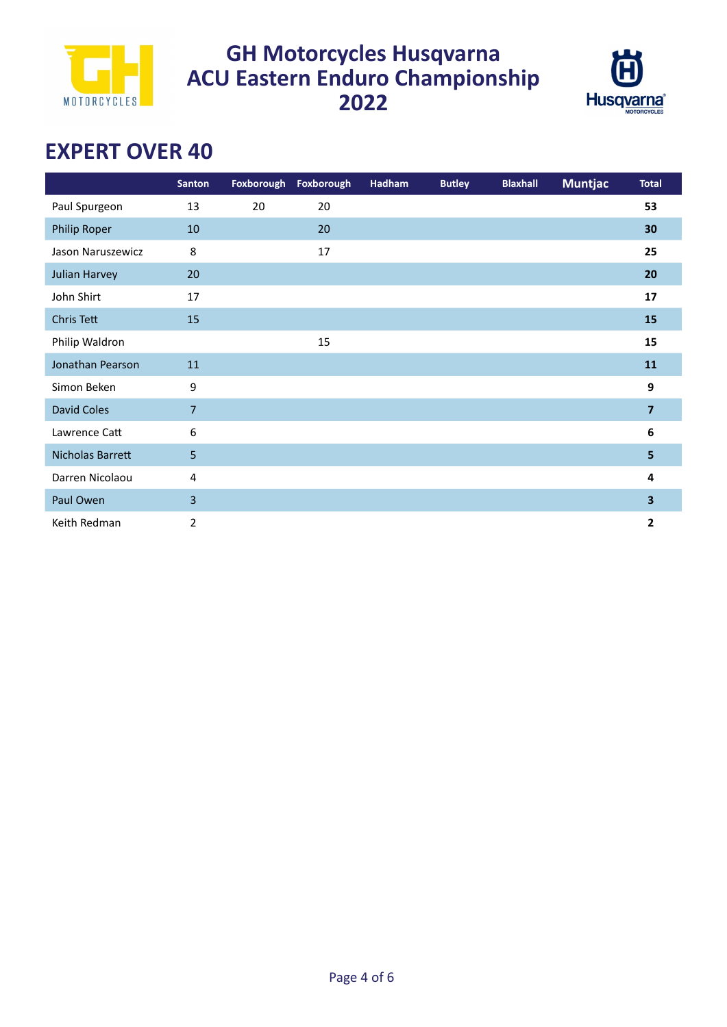



# **EXPERT OVER 40**

|                   | <b>Santon</b>  |    | Foxborough Foxborough | Hadham | <b>Butley</b> | <b>Blaxhall</b> | <b>Muntjac</b> | <b>Total</b>     |
|-------------------|----------------|----|-----------------------|--------|---------------|-----------------|----------------|------------------|
| Paul Spurgeon     | 13             | 20 | 20                    |        |               |                 |                | 53               |
| Philip Roper      | 10             |    | 20                    |        |               |                 |                | 30               |
| Jason Naruszewicz | 8              |    | 17                    |        |               |                 |                | 25               |
| Julian Harvey     | 20             |    |                       |        |               |                 |                | 20               |
| John Shirt        | 17             |    |                       |        |               |                 |                | 17               |
| Chris Tett        | 15             |    |                       |        |               |                 |                | 15               |
| Philip Waldron    |                |    | 15                    |        |               |                 |                | 15               |
| Jonathan Pearson  | 11             |    |                       |        |               |                 |                | 11               |
| Simon Beken       | 9              |    |                       |        |               |                 |                | $\boldsymbol{9}$ |
| David Coles       | $\overline{7}$ |    |                       |        |               |                 |                | $\overline{7}$   |
| Lawrence Catt     | 6              |    |                       |        |               |                 |                | $\bf 6$          |
| Nicholas Barrett  | 5              |    |                       |        |               |                 |                | 5                |
| Darren Nicolaou   | 4              |    |                       |        |               |                 |                | 4                |
| Paul Owen         | 3              |    |                       |        |               |                 |                | 3                |
| Keith Redman      | 2              |    |                       |        |               |                 |                | $\mathbf{2}$     |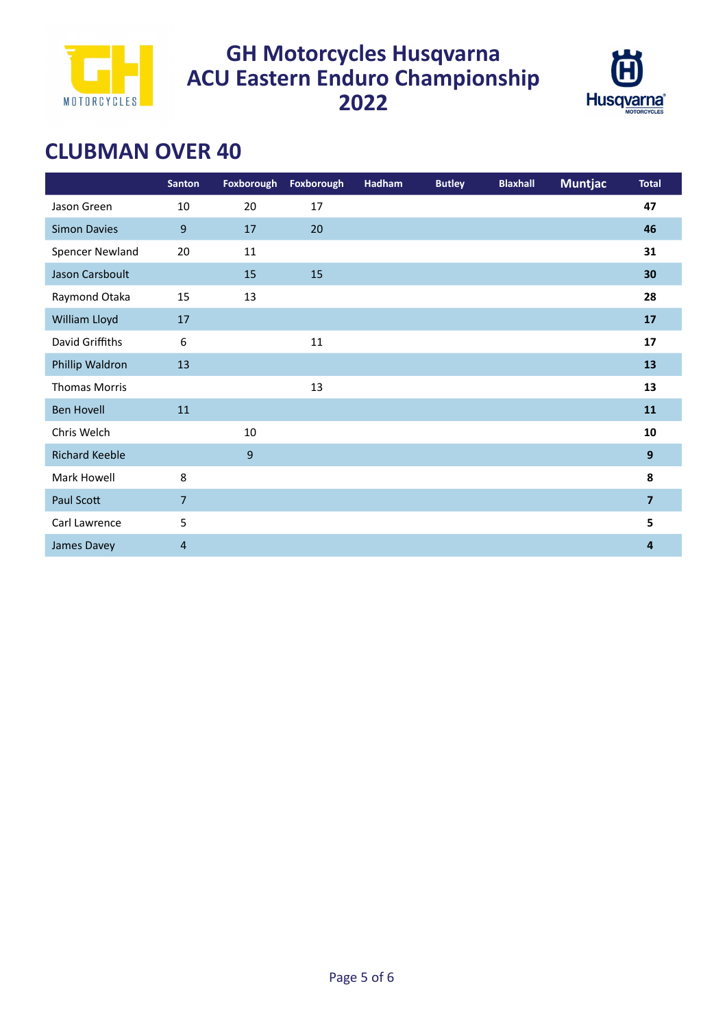



## **CLUBMAN OVER 40**

|                       | <b>Santon</b>    | Foxborough | Foxborough | Hadham | <b>Butley</b> | <b>Blaxhall</b> | <b>Muntjac</b> | <b>Total</b>   |
|-----------------------|------------------|------------|------------|--------|---------------|-----------------|----------------|----------------|
| Jason Green           | $10\,$           | 20         | 17         |        |               |                 |                | 47             |
| <b>Simon Davies</b>   | $9$              | 17         | 20         |        |               |                 |                | 46             |
| Spencer Newland       | 20               | $11\,$     |            |        |               |                 |                | 31             |
| Jason Carsboult       |                  | 15         | 15         |        |               |                 |                | 30             |
| Raymond Otaka         | 15               | 13         |            |        |               |                 |                | 28             |
| William Lloyd         | 17               |            |            |        |               |                 |                | 17             |
| David Griffiths       | $\boldsymbol{6}$ |            | 11         |        |               |                 |                | 17             |
| Phillip Waldron       | 13               |            |            |        |               |                 |                | 13             |
| <b>Thomas Morris</b>  |                  |            | 13         |        |               |                 |                | 13             |
| <b>Ben Hovell</b>     | $11\,$           |            |            |        |               |                 |                | 11             |
| Chris Welch           |                  | 10         |            |        |               |                 |                | 10             |
| <b>Richard Keeble</b> |                  | 9          |            |        |               |                 |                | 9              |
| Mark Howell           | 8                |            |            |        |               |                 |                | 8              |
| Paul Scott            | $\overline{7}$   |            |            |        |               |                 |                | $\overline{7}$ |
| Carl Lawrence         | 5                |            |            |        |               |                 |                | 5              |
| James Davey           | 4                |            |            |        |               |                 |                | 4              |